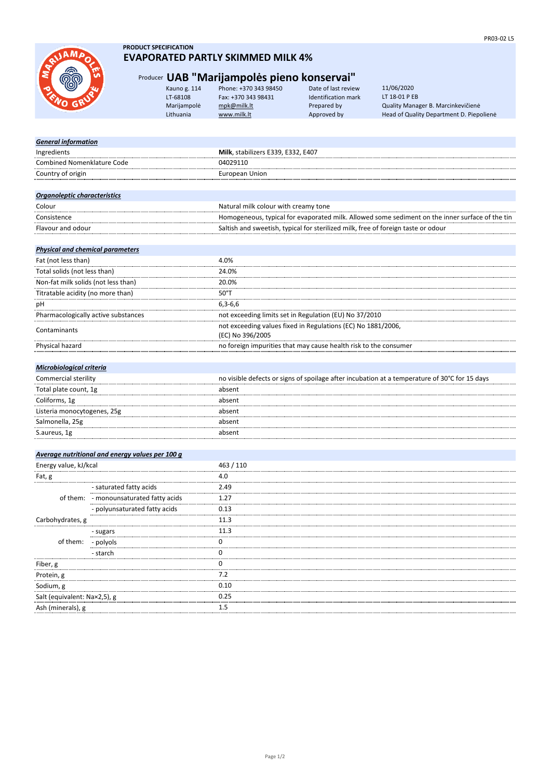

### **PRODUCT SPECIFICATION EVAPORATED PARTLY SKIMMED MILK 4%**

## Producer **UAB "Marijampolės pieno konservai"**

| Kauno g. 114 | Phone: +370 343 98450 | Date of last review        |  |
|--------------|-----------------------|----------------------------|--|
| LT-68108     | Fax: +370 343 98431   | <b>Identification mark</b> |  |
| Marijampolė  | mpk@milk.lt           | Prepared by                |  |
| Lithuania    | www.milk.lt           | Approved by                |  |
|              |                       |                            |  |

Quality Manager B. Marcinkevičienė Head of Quality Department D. Piepolienė 11/06/2020 LT 18-01 P EB

| <b>General information</b>              |                                                 |                                                                                                 |
|-----------------------------------------|-------------------------------------------------|-------------------------------------------------------------------------------------------------|
| Ingredients                             |                                                 | Milk, stabilizers E339, E332, E407                                                              |
| <b>Combined Nomenklature Code</b>       |                                                 | 04029110                                                                                        |
| Country of origin                       |                                                 | <b>European Union</b>                                                                           |
|                                         |                                                 |                                                                                                 |
| Organoleptic characteristics            |                                                 |                                                                                                 |
| Colour                                  |                                                 | Natural milk colour with creamy tone                                                            |
| Consistence                             |                                                 | Homogeneous, typical for evaporated milk. Allowed some sediment on the inner surface of the tin |
| Flavour and odour                       |                                                 | Saltish and sweetish, typical for sterilized milk, free of foreign taste or odour               |
| <b>Physical and chemical parameters</b> |                                                 |                                                                                                 |
| Fat (not less than)                     |                                                 | 4.0%                                                                                            |
| Total solids (not less than)            |                                                 | 24.0%                                                                                           |
| Non-fat milk solids (not less than)     |                                                 | 20.0%                                                                                           |
| Titratable acidity (no more than)       |                                                 | $50^{\circ}$ T                                                                                  |
| pH                                      |                                                 | $6,3-6,6$                                                                                       |
|                                         | Pharmacologically active substances             | not exceeding limits set in Regulation (EU) No 37/2010                                          |
|                                         |                                                 | not exceeding values fixed in Regulations (EC) No 1881/2006,                                    |
| Contaminants                            |                                                 | (EC) No 396/2005                                                                                |
| Physical hazard                         |                                                 | no foreign impurities that may cause health risk to the consumer                                |
|                                         |                                                 |                                                                                                 |
| <b>Microbiological criteria</b>         |                                                 |                                                                                                 |
| Commercial sterility                    |                                                 | no visible defects or signs of spoilage after incubation at a temperature of 30°C for 15 days   |
| Total plate count, 1g                   |                                                 | absent                                                                                          |
| Coliforms, 1g                           |                                                 | absent                                                                                          |
| Listeria monocytogenes, 25g             |                                                 | absent                                                                                          |
| Salmonella, 25g                         |                                                 | absent                                                                                          |
| S.aureus, 1g                            |                                                 | absent                                                                                          |
|                                         |                                                 |                                                                                                 |
|                                         | Average nutritional and energy values per 100 g |                                                                                                 |
| Energy value, kJ/kcal                   |                                                 | 463 / 110                                                                                       |
| Fat, g                                  |                                                 | 4.0                                                                                             |
|                                         | - saturated fatty acids                         | 2.49                                                                                            |
| of them:                                | - monounsaturated fatty acids                   | 1.27                                                                                            |
|                                         | polyunsaturated fatty acids                     | 0.13                                                                                            |
| Carbohydrates, g                        |                                                 | 11.3                                                                                            |
|                                         | - sugars                                        | 11.3                                                                                            |
| of them:                                | - polyols                                       | 0                                                                                               |
|                                         | - starch                                        | 0                                                                                               |
| Fiber, g                                |                                                 | 0                                                                                               |
| Protein, g                              |                                                 | 7.2                                                                                             |
| Sodium, g                               |                                                 | 0.10                                                                                            |
| Salt (equivalent: Na×2,5), g            |                                                 | 0.25                                                                                            |
| Ash (minerals), g                       |                                                 | 1.5                                                                                             |